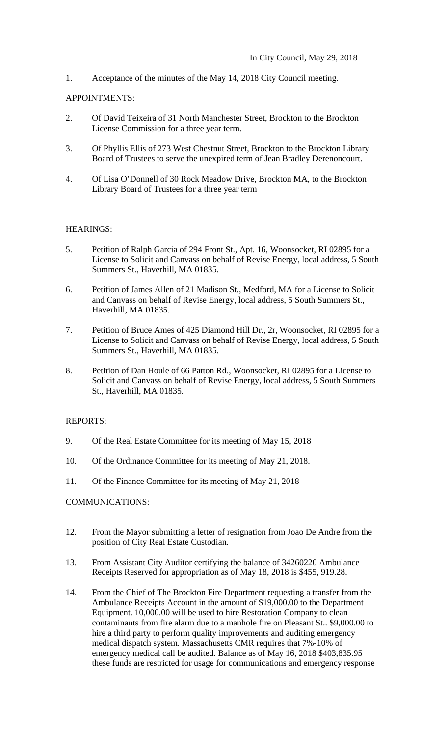1. Acceptance of the minutes of the May 14, 2018 City Council meeting.

## APPOINTMENTS:

- 2. Of David Teixeira of 31 North Manchester Street, Brockton to the Brockton License Commission for a three year term.
- 3. Of Phyllis Ellis of 273 West Chestnut Street, Brockton to the Brockton Library Board of Trustees to serve the unexpired term of Jean Bradley Derenoncourt.
- 4. Of Lisa O'Donnell of 30 Rock Meadow Drive, Brockton MA, to the Brockton Library Board of Trustees for a three year term

# HEARINGS:

- 5. Petition of Ralph Garcia of 294 Front St., Apt. 16, Woonsocket, RI 02895 for a License to Solicit and Canvass on behalf of Revise Energy, local address, 5 South Summers St., Haverhill, MA 01835.
- 6. Petition of James Allen of 21 Madison St., Medford, MA for a License to Solicit and Canvass on behalf of Revise Energy, local address, 5 South Summers St., Haverhill, MA 01835.
- 7. Petition of Bruce Ames of 425 Diamond Hill Dr., 2r, Woonsocket, RI 02895 for a License to Solicit and Canvass on behalf of Revise Energy, local address, 5 South Summers St., Haverhill, MA 01835.
- 8. Petition of Dan Houle of 66 Patton Rd., Woonsocket, RI 02895 for a License to Solicit and Canvass on behalf of Revise Energy, local address, 5 South Summers St., Haverhill, MA 01835.

### REPORTS:

- 9. Of the Real Estate Committee for its meeting of May 15, 2018
- 10. Of the Ordinance Committee for its meeting of May 21, 2018.
- 11. Of the Finance Committee for its meeting of May 21, 2018

### COMMUNICATIONS:

- 12. From the Mayor submitting a letter of resignation from Joao De Andre from the position of City Real Estate Custodian.
- 13. From Assistant City Auditor certifying the balance of 34260220 Ambulance Receipts Reserved for appropriation as of May 18, 2018 is \$455, 919.28.
- 14. From the Chief of The Brockton Fire Department requesting a transfer from the Ambulance Receipts Account in the amount of \$19,000.00 to the Department Equipment. 10,000.00 will be used to hire Restoration Company to clean contaminants from fire alarm due to a manhole fire on Pleasant St.. \$9,000.00 to hire a third party to perform quality improvements and auditing emergency medical dispatch system. Massachusetts CMR requires that 7%-10% of emergency medical call be audited. Balance as of May 16, 2018 \$403,835.95 these funds are restricted for usage for communications and emergency response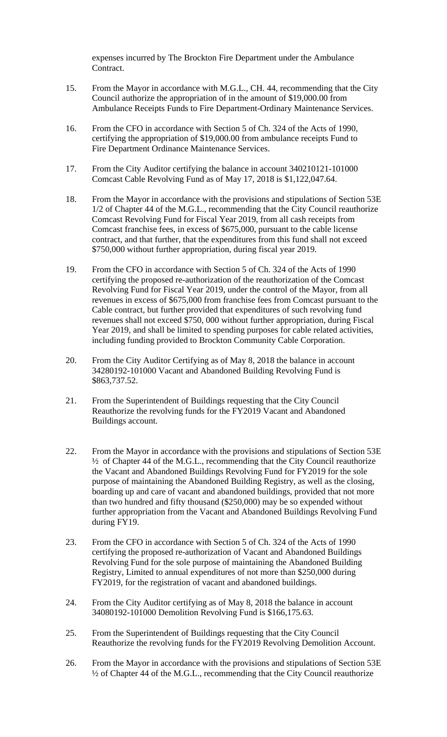expenses incurred by The Brockton Fire Department under the Ambulance Contract.

- 15. From the Mayor in accordance with M.G.L., CH. 44, recommending that the City Council authorize the appropriation of in the amount of \$19,000.00 from Ambulance Receipts Funds to Fire Department-Ordinary Maintenance Services.
- 16. From the CFO in accordance with Section 5 of Ch. 324 of the Acts of 1990, certifying the appropriation of \$19,000.00 from ambulance receipts Fund to Fire Department Ordinance Maintenance Services.
- 17. From the City Auditor certifying the balance in account 340210121-101000 Comcast Cable Revolving Fund as of May 17, 2018 is \$1,122,047.64.
- 18. From the Mayor in accordance with the provisions and stipulations of Section 53E 1/2 of Chapter 44 of the M.G.L., recommending that the City Council reauthorize Comcast Revolving Fund for Fiscal Year 2019, from all cash receipts from Comcast franchise fees, in excess of \$675,000, pursuant to the cable license contract, and that further, that the expenditures from this fund shall not exceed \$750,000 without further appropriation, during fiscal year 2019.
- 19. From the CFO in accordance with Section 5 of Ch. 324 of the Acts of 1990 certifying the proposed re-authorization of the reauthorization of the Comcast Revolving Fund for Fiscal Year 2019, under the control of the Mayor, from all revenues in excess of \$675,000 from franchise fees from Comcast pursuant to the Cable contract, but further provided that expenditures of such revolving fund revenues shall not exceed \$750, 000 without further appropriation, during Fiscal Year 2019, and shall be limited to spending purposes for cable related activities, including funding provided to Brockton Community Cable Corporation.
- 20. From the City Auditor Certifying as of May 8, 2018 the balance in account 34280192-101000 Vacant and Abandoned Building Revolving Fund is \$863,737.52.
- 21. From the Superintendent of Buildings requesting that the City Council Reauthorize the revolving funds for the FY2019 Vacant and Abandoned Buildings account.
- 22. From the Mayor in accordance with the provisions and stipulations of Section 53E ½ of Chapter 44 of the M.G.L., recommending that the City Council reauthorize the Vacant and Abandoned Buildings Revolving Fund for FY2019 for the sole purpose of maintaining the Abandoned Building Registry, as well as the closing, boarding up and care of vacant and abandoned buildings, provided that not more than two hundred and fifty thousand (\$250,000) may be so expended without further appropriation from the Vacant and Abandoned Buildings Revolving Fund during FY19.
- 23. From the CFO in accordance with Section 5 of Ch. 324 of the Acts of 1990 certifying the proposed re-authorization of Vacant and Abandoned Buildings Revolving Fund for the sole purpose of maintaining the Abandoned Building Registry, Limited to annual expenditures of not more than \$250,000 during FY2019, for the registration of vacant and abandoned buildings.
- 24. From the City Auditor certifying as of May 8, 2018 the balance in account 34080192-101000 Demolition Revolving Fund is \$166,175.63.
- 25. From the Superintendent of Buildings requesting that the City Council Reauthorize the revolving funds for the FY2019 Revolving Demolition Account.
- 26. From the Mayor in accordance with the provisions and stipulations of Section 53E ½ of Chapter 44 of the M.G.L., recommending that the City Council reauthorize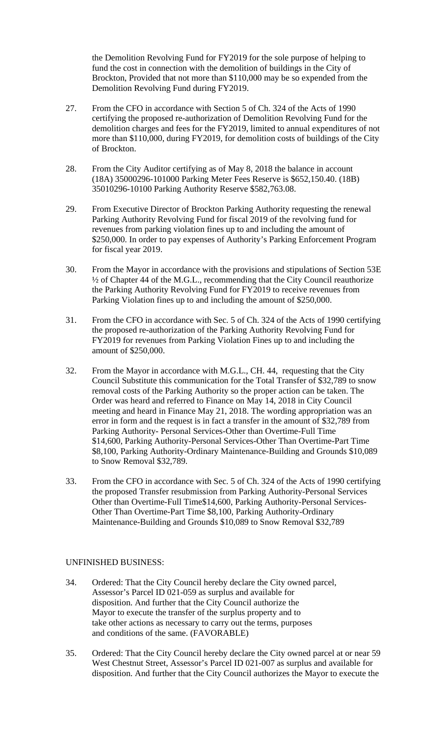the Demolition Revolving Fund for FY2019 for the sole purpose of helping to fund the cost in connection with the demolition of buildings in the City of Brockton, Provided that not more than \$110,000 may be so expended from the Demolition Revolving Fund during FY2019.

- 27. From the CFO in accordance with Section 5 of Ch. 324 of the Acts of 1990 certifying the proposed re-authorization of Demolition Revolving Fund for the demolition charges and fees for the FY2019, limited to annual expenditures of not more than \$110,000, during FY2019, for demolition costs of buildings of the City of Brockton.
- 28. From the City Auditor certifying as of May 8, 2018 the balance in account (18A) 35000296-101000 Parking Meter Fees Reserve is \$652,150.40. (18B) 35010296-10100 Parking Authority Reserve \$582,763.08.
- 29. From Executive Director of Brockton Parking Authority requesting the renewal Parking Authority Revolving Fund for fiscal 2019 of the revolving fund for revenues from parking violation fines up to and including the amount of \$250,000. In order to pay expenses of Authority's Parking Enforcement Program for fiscal year 2019.
- 30. From the Mayor in accordance with the provisions and stipulations of Section 53E ½ of Chapter 44 of the M.G.L., recommending that the City Council reauthorize the Parking Authority Revolving Fund for FY2019 to receive revenues from Parking Violation fines up to and including the amount of \$250,000.
- 31. From the CFO in accordance with Sec. 5 of Ch. 324 of the Acts of 1990 certifying the proposed re-authorization of the Parking Authority Revolving Fund for FY2019 for revenues from Parking Violation Fines up to and including the amount of \$250,000.
- 32. From the Mayor in accordance with M.G.L., CH. 44, requesting that the City Council Substitute this communication for the Total Transfer of \$32,789 to snow removal costs of the Parking Authority so the proper action can be taken. The Order was heard and referred to Finance on May 14, 2018 in City Council meeting and heard in Finance May 21, 2018. The wording appropriation was an error in form and the request is in fact a transfer in the amount of \$32,789 from Parking Authority- Personal Services-Other than Overtime-Full Time \$14,600, Parking Authority-Personal Services-Other Than Overtime-Part Time \$8,100, Parking Authority-Ordinary Maintenance-Building and Grounds \$10,089 to Snow Removal \$32,789.
- 33. From the CFO in accordance with Sec. 5 of Ch. 324 of the Acts of 1990 certifying the proposed Transfer resubmission from Parking Authority-Personal Services Other than Overtime-Full Time\$14,600, Parking Authority-Personal Services- Other Than Overtime-Part Time \$8,100, Parking Authority-Ordinary Maintenance-Building and Grounds \$10,089 to Snow Removal \$32,789

### UNFINISHED BUSINESS:

- 34. Ordered: That the City Council hereby declare the City owned parcel, Assessor's Parcel ID 021-059 as surplus and available for disposition. And further that the City Council authorize the Mayor to execute the transfer of the surplus property and to take other actions as necessary to carry out the terms, purposes and conditions of the same. (FAVORABLE)
- 35. Ordered: That the City Council hereby declare the City owned parcel at or near 59 West Chestnut Street, Assessor's Parcel ID 021-007 as surplus and available for disposition. And further that the City Council authorizes the Mayor to execute the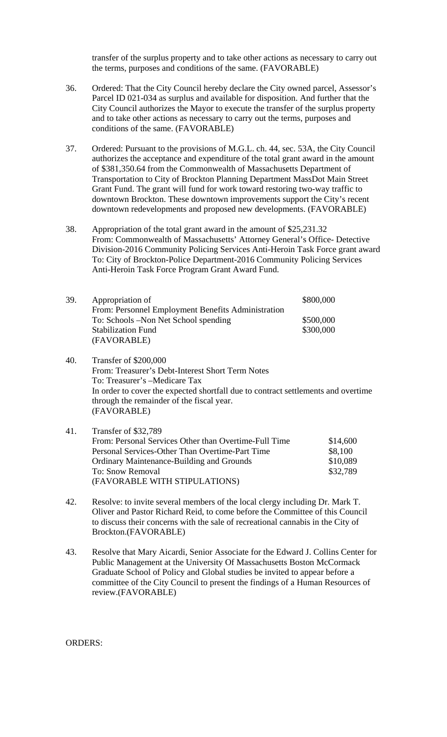transfer of the surplus property and to take other actions as necessary to carry out the terms, purposes and conditions of the same. (FAVORABLE)

- 36. Ordered: That the City Council hereby declare the City owned parcel, Assessor's Parcel ID 021-034 as surplus and available for disposition. And further that the City Council authorizes the Mayor to execute the transfer of the surplus property and to take other actions as necessary to carry out the terms, purposes and conditions of the same. (FAVORABLE)
- 37. Ordered: Pursuant to the provisions of M.G.L. ch. 44, sec. 53A, the City Council authorizes the acceptance and expenditure of the total grant award in the amount of \$381,350.64 from the Commonwealth of Massachusetts Department of Transportation to City of Brockton Planning Department MassDot Main Street Grant Fund. The grant will fund for work toward restoring two-way traffic to downtown Brockton. These downtown improvements support the City's recent downtown redevelopments and proposed new developments. (FAVORABLE)
- 38. Appropriation of the total grant award in the amount of \$25,231.32 From: Commonwealth of Massachusetts' Attorney General's Office- Detective Division-2016 Community Policing Services Anti-Heroin Task Force grant award To: City of Brockton-Police Department-2016 Community Policing Services Anti-Heroin Task Force Program Grant Award Fund.

| 39. | Appropriation of                                   | \$800,000 |
|-----|----------------------------------------------------|-----------|
|     | From: Personnel Employment Benefits Administration |           |
|     | To: Schools – Non Net School spending              | \$500,000 |
|     | <b>Stabilization Fund</b>                          | \$300,000 |
|     | (FAVORABLE)                                        |           |

40. Transfer of \$200,000 From: Treasurer's Debt-Interest Short Term Notes To: Treasurer's –Medicare Tax In order to cover the expected shortfall due to contract settlements and overtime through the remainder of the fiscal year. (FAVORABLE)

### 41. Transfer of \$32,789 From: Personal Services Other than Overtime-Full Time \$14,600 Personal Services-Other Than Overtime-Part Time \$8,100 Ordinary Maintenance-Building and Grounds \$10,089 To: Snow Removal \$32,789 (FAVORABLE WITH STIPULATIONS)

- 42. Resolve: to invite several members of the local clergy including Dr. Mark T. Oliver and Pastor Richard Reid, to come before the Committee of this Council to discuss their concerns with the sale of recreational cannabis in the City of Brockton.(FAVORABLE)
- 43. Resolve that Mary Aicardi, Senior Associate for the Edward J. Collins Center for Public Management at the University Of Massachusetts Boston McCormack Graduate School of Policy and Global studies be invited to appear before a committee of the City Council to present the findings of a Human Resources of review.(FAVORABLE)

#### ORDERS: